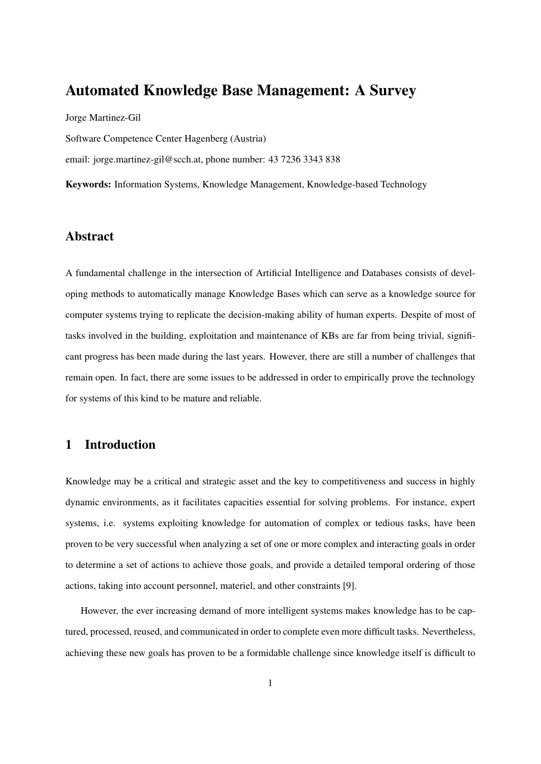# Automated Knowledge Base Management: A Survey

Jorge Martinez-Gil

Software Competence Center Hagenberg (Austria)

email: jorge.martinez-gil@scch.at, phone number: 43 7236 3343 838

Keywords: Information Systems, Knowledge Management, Knowledge-based Technology

### Abstract

A fundamental challenge in the intersection of Artificial Intelligence and Databases consists of developing methods to automatically manage Knowledge Bases which can serve as a knowledge source for computer systems trying to replicate the decision-making ability of human experts. Despite of most of tasks involved in the building, exploitation and maintenance of KBs are far from being trivial, significant progress has been made during the last years. However, there are still a number of challenges that remain open. In fact, there are some issues to be addressed in order to empirically prove the technology for systems of this kind to be mature and reliable.

## 1 Introduction

Knowledge may be a critical and strategic asset and the key to competitiveness and success in highly dynamic environments, as it facilitates capacities essential for solving problems. For instance, expert systems, i.e. systems exploiting knowledge for automation of complex or tedious tasks, have been proven to be very successful when analyzing a set of one or more complex and interacting goals in order to determine a set of actions to achieve those goals, and provide a detailed temporal ordering of those actions, taking into account personnel, materiel, and other constraints [9].

However, the ever increasing demand of more intelligent systems makes knowledge has to be captured, processed, reused, and communicated in order to complete even more difficult tasks. Nevertheless, achieving these new goals has proven to be a formidable challenge since knowledge itself is difficult to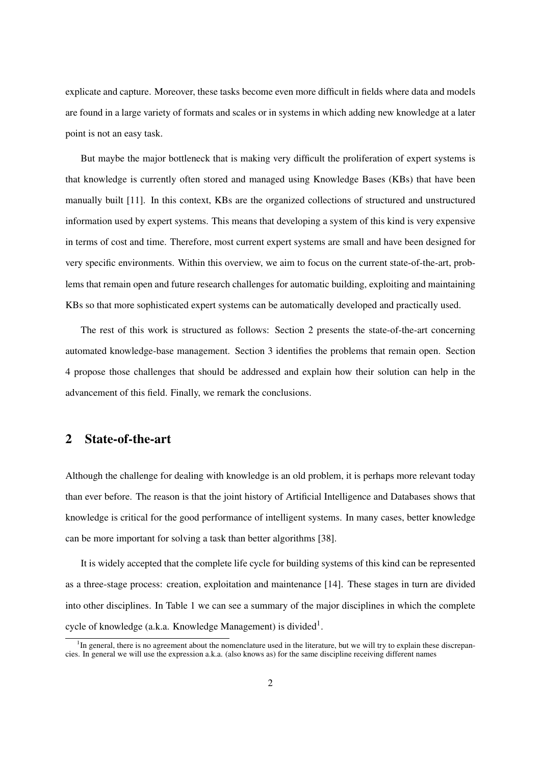explicate and capture. Moreover, these tasks become even more difficult in fields where data and models are found in a large variety of formats and scales or in systems in which adding new knowledge at a later point is not an easy task.

But maybe the major bottleneck that is making very difficult the proliferation of expert systems is that knowledge is currently often stored and managed using Knowledge Bases (KBs) that have been manually built [11]. In this context, KBs are the organized collections of structured and unstructured information used by expert systems. This means that developing a system of this kind is very expensive in terms of cost and time. Therefore, most current expert systems are small and have been designed for very specific environments. Within this overview, we aim to focus on the current state-of-the-art, problems that remain open and future research challenges for automatic building, exploiting and maintaining KBs so that more sophisticated expert systems can be automatically developed and practically used.

The rest of this work is structured as follows: Section 2 presents the state-of-the-art concerning automated knowledge-base management. Section 3 identifies the problems that remain open. Section 4 propose those challenges that should be addressed and explain how their solution can help in the advancement of this field. Finally, we remark the conclusions.

#### 2 State-of-the-art

Although the challenge for dealing with knowledge is an old problem, it is perhaps more relevant today than ever before. The reason is that the joint history of Artificial Intelligence and Databases shows that knowledge is critical for the good performance of intelligent systems. In many cases, better knowledge can be more important for solving a task than better algorithms [38].

It is widely accepted that the complete life cycle for building systems of this kind can be represented as a three-stage process: creation, exploitation and maintenance [14]. These stages in turn are divided into other disciplines. In Table 1 we can see a summary of the major disciplines in which the complete cycle of knowledge (a.k.a. Knowledge Management) is divided<sup>1</sup>.

<sup>&</sup>lt;sup>1</sup>In general, there is no agreement about the nomenclature used in the literature, but we will try to explain these discrepancies. In general we will use the expression a.k.a. (also knows as) for the same discipline receiving different names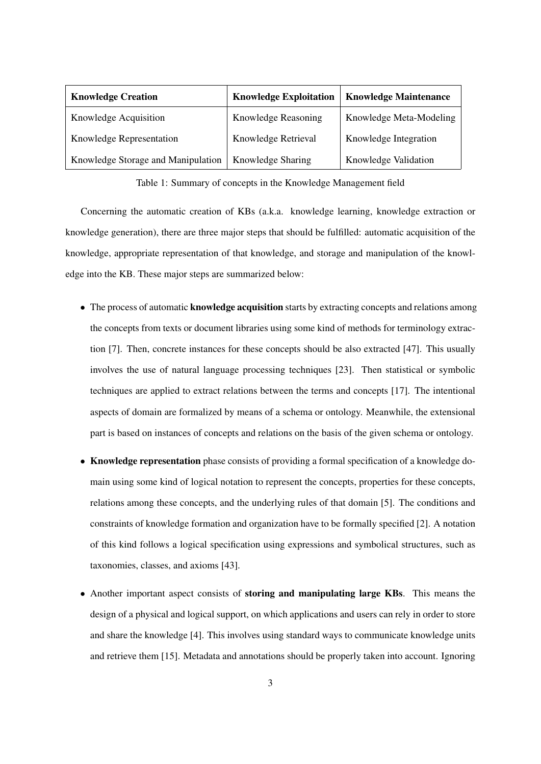| <b>Knowledge Creation</b>          | <b>Knowledge Exploitation</b> | <b>Knowledge Maintenance</b> |
|------------------------------------|-------------------------------|------------------------------|
| Knowledge Acquisition              | Knowledge Reasoning           | Knowledge Meta-Modeling      |
| Knowledge Representation           | Knowledge Retrieval           | Knowledge Integration        |
| Knowledge Storage and Manipulation | Knowledge Sharing             | Knowledge Validation         |

Table 1: Summary of concepts in the Knowledge Management field

Concerning the automatic creation of KBs (a.k.a. knowledge learning, knowledge extraction or knowledge generation), there are three major steps that should be fulfilled: automatic acquisition of the knowledge, appropriate representation of that knowledge, and storage and manipulation of the knowledge into the KB. These major steps are summarized below:

- The process of automatic **knowledge acquisition** starts by extracting concepts and relations among the concepts from texts or document libraries using some kind of methods for terminology extraction [7]. Then, concrete instances for these concepts should be also extracted [47]. This usually involves the use of natural language processing techniques [23]. Then statistical or symbolic techniques are applied to extract relations between the terms and concepts [17]. The intentional aspects of domain are formalized by means of a schema or ontology. Meanwhile, the extensional part is based on instances of concepts and relations on the basis of the given schema or ontology.
- Knowledge representation phase consists of providing a formal specification of a knowledge domain using some kind of logical notation to represent the concepts, properties for these concepts, relations among these concepts, and the underlying rules of that domain [5]. The conditions and constraints of knowledge formation and organization have to be formally specified [2]. A notation of this kind follows a logical specification using expressions and symbolical structures, such as taxonomies, classes, and axioms [43].
- Another important aspect consists of storing and manipulating large KBs. This means the design of a physical and logical support, on which applications and users can rely in order to store and share the knowledge [4]. This involves using standard ways to communicate knowledge units and retrieve them [15]. Metadata and annotations should be properly taken into account. Ignoring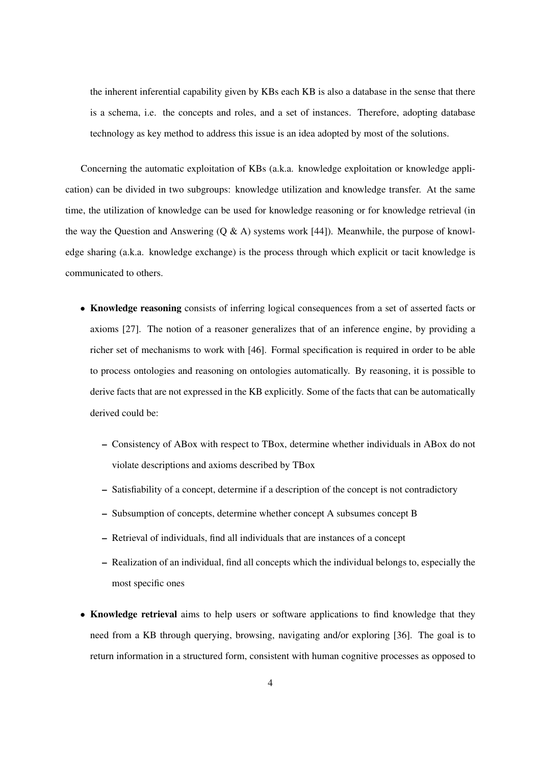the inherent inferential capability given by KBs each KB is also a database in the sense that there is a schema, i.e. the concepts and roles, and a set of instances. Therefore, adopting database technology as key method to address this issue is an idea adopted by most of the solutions.

Concerning the automatic exploitation of KBs (a.k.a. knowledge exploitation or knowledge application) can be divided in two subgroups: knowledge utilization and knowledge transfer. At the same time, the utilization of knowledge can be used for knowledge reasoning or for knowledge retrieval (in the way the Question and Answering  $(Q \& A)$  systems work [44]). Meanwhile, the purpose of knowledge sharing (a.k.a. knowledge exchange) is the process through which explicit or tacit knowledge is communicated to others.

- Knowledge reasoning consists of inferring logical consequences from a set of asserted facts or axioms [27]. The notion of a reasoner generalizes that of an inference engine, by providing a richer set of mechanisms to work with [46]. Formal specification is required in order to be able to process ontologies and reasoning on ontologies automatically. By reasoning, it is possible to derive facts that are not expressed in the KB explicitly. Some of the facts that can be automatically derived could be:
	- Consistency of ABox with respect to TBox, determine whether individuals in ABox do not violate descriptions and axioms described by TBox
	- Satisfiability of a concept, determine if a description of the concept is not contradictory
	- Subsumption of concepts, determine whether concept A subsumes concept B
	- Retrieval of individuals, find all individuals that are instances of a concept
	- Realization of an individual, find all concepts which the individual belongs to, especially the most specific ones
- Knowledge retrieval aims to help users or software applications to find knowledge that they need from a KB through querying, browsing, navigating and/or exploring [36]. The goal is to return information in a structured form, consistent with human cognitive processes as opposed to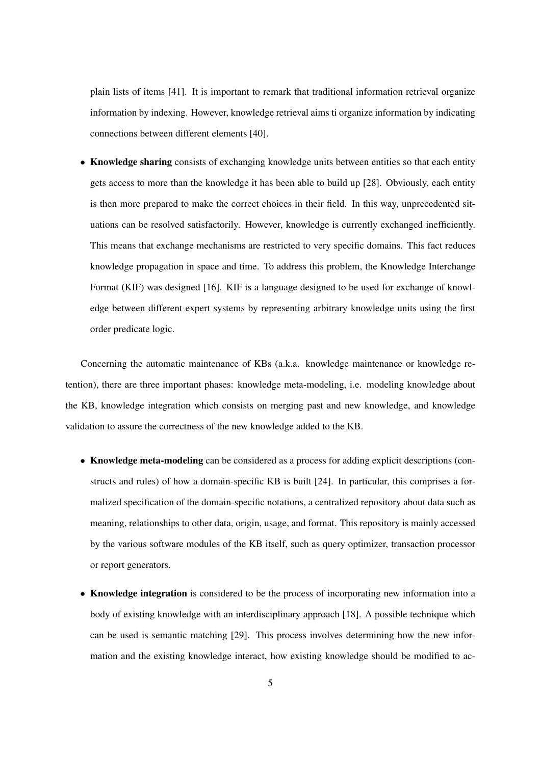plain lists of items [41]. It is important to remark that traditional information retrieval organize information by indexing. However, knowledge retrieval aims ti organize information by indicating connections between different elements [40].

• Knowledge sharing consists of exchanging knowledge units between entities so that each entity gets access to more than the knowledge it has been able to build up [28]. Obviously, each entity is then more prepared to make the correct choices in their field. In this way, unprecedented situations can be resolved satisfactorily. However, knowledge is currently exchanged inefficiently. This means that exchange mechanisms are restricted to very specific domains. This fact reduces knowledge propagation in space and time. To address this problem, the Knowledge Interchange Format (KIF) was designed [16]. KIF is a language designed to be used for exchange of knowledge between different expert systems by representing arbitrary knowledge units using the first order predicate logic.

Concerning the automatic maintenance of KBs (a.k.a. knowledge maintenance or knowledge retention), there are three important phases: knowledge meta-modeling, i.e. modeling knowledge about the KB, knowledge integration which consists on merging past and new knowledge, and knowledge validation to assure the correctness of the new knowledge added to the KB.

- Knowledge meta-modeling can be considered as a process for adding explicit descriptions (constructs and rules) of how a domain-specific KB is built [24]. In particular, this comprises a formalized specification of the domain-specific notations, a centralized repository about data such as meaning, relationships to other data, origin, usage, and format. This repository is mainly accessed by the various software modules of the KB itself, such as query optimizer, transaction processor or report generators.
- Knowledge integration is considered to be the process of incorporating new information into a body of existing knowledge with an interdisciplinary approach [18]. A possible technique which can be used is semantic matching [29]. This process involves determining how the new information and the existing knowledge interact, how existing knowledge should be modified to ac-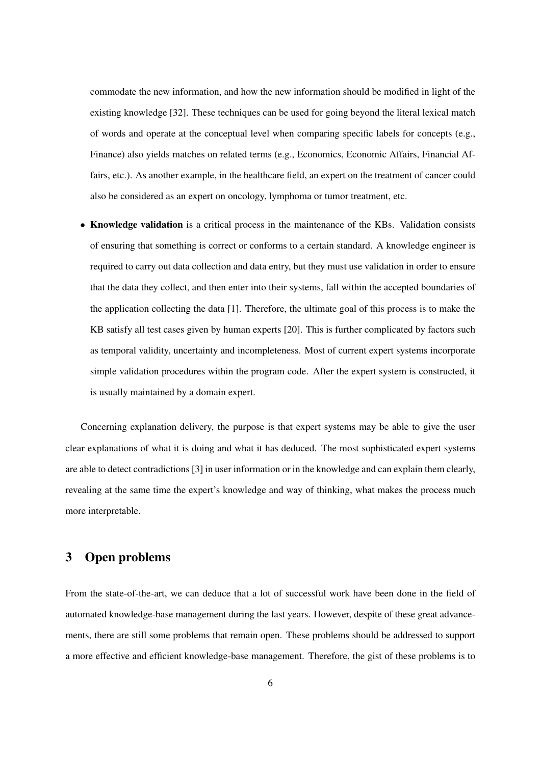commodate the new information, and how the new information should be modified in light of the existing knowledge [32]. These techniques can be used for going beyond the literal lexical match of words and operate at the conceptual level when comparing specific labels for concepts (e.g., Finance) also yields matches on related terms (e.g., Economics, Economic Affairs, Financial Affairs, etc.). As another example, in the healthcare field, an expert on the treatment of cancer could also be considered as an expert on oncology, lymphoma or tumor treatment, etc.

• Knowledge validation is a critical process in the maintenance of the KBs. Validation consists of ensuring that something is correct or conforms to a certain standard. A knowledge engineer is required to carry out data collection and data entry, but they must use validation in order to ensure that the data they collect, and then enter into their systems, fall within the accepted boundaries of the application collecting the data [1]. Therefore, the ultimate goal of this process is to make the KB satisfy all test cases given by human experts [20]. This is further complicated by factors such as temporal validity, uncertainty and incompleteness. Most of current expert systems incorporate simple validation procedures within the program code. After the expert system is constructed, it is usually maintained by a domain expert.

Concerning explanation delivery, the purpose is that expert systems may be able to give the user clear explanations of what it is doing and what it has deduced. The most sophisticated expert systems are able to detect contradictions [3] in user information or in the knowledge and can explain them clearly, revealing at the same time the expert's knowledge and way of thinking, what makes the process much more interpretable.

## 3 Open problems

From the state-of-the-art, we can deduce that a lot of successful work have been done in the field of automated knowledge-base management during the last years. However, despite of these great advancements, there are still some problems that remain open. These problems should be addressed to support a more effective and efficient knowledge-base management. Therefore, the gist of these problems is to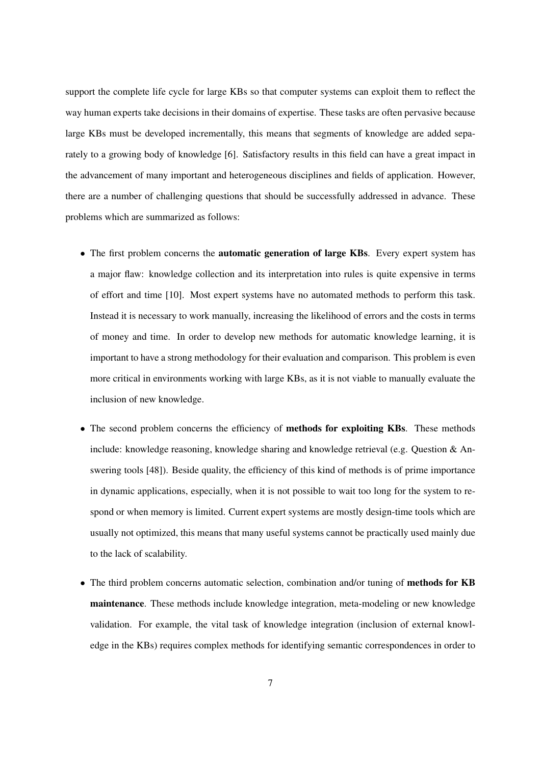support the complete life cycle for large KBs so that computer systems can exploit them to reflect the way human experts take decisions in their domains of expertise. These tasks are often pervasive because large KBs must be developed incrementally, this means that segments of knowledge are added separately to a growing body of knowledge [6]. Satisfactory results in this field can have a great impact in the advancement of many important and heterogeneous disciplines and fields of application. However, there are a number of challenging questions that should be successfully addressed in advance. These problems which are summarized as follows:

- The first problem concerns the **automatic generation of large KBs**. Every expert system has a major flaw: knowledge collection and its interpretation into rules is quite expensive in terms of effort and time [10]. Most expert systems have no automated methods to perform this task. Instead it is necessary to work manually, increasing the likelihood of errors and the costs in terms of money and time. In order to develop new methods for automatic knowledge learning, it is important to have a strong methodology for their evaluation and comparison. This problem is even more critical in environments working with large KBs, as it is not viable to manually evaluate the inclusion of new knowledge.
- The second problem concerns the efficiency of **methods for exploiting KBs**. These methods include: knowledge reasoning, knowledge sharing and knowledge retrieval (e.g. Question & Answering tools [48]). Beside quality, the efficiency of this kind of methods is of prime importance in dynamic applications, especially, when it is not possible to wait too long for the system to respond or when memory is limited. Current expert systems are mostly design-time tools which are usually not optimized, this means that many useful systems cannot be practically used mainly due to the lack of scalability.
- The third problem concerns automatic selection, combination and/or tuning of **methods for KB** maintenance. These methods include knowledge integration, meta-modeling or new knowledge validation. For example, the vital task of knowledge integration (inclusion of external knowledge in the KBs) requires complex methods for identifying semantic correspondences in order to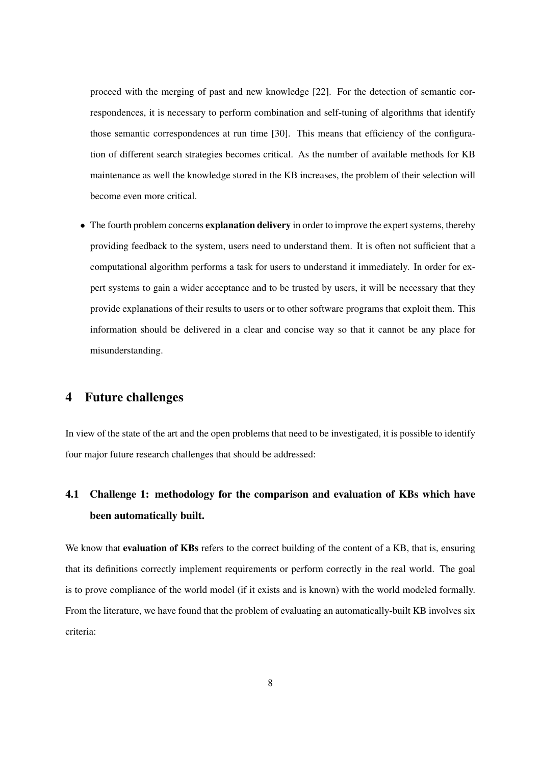proceed with the merging of past and new knowledge [22]. For the detection of semantic correspondences, it is necessary to perform combination and self-tuning of algorithms that identify those semantic correspondences at run time [30]. This means that efficiency of the configuration of different search strategies becomes critical. As the number of available methods for KB maintenance as well the knowledge stored in the KB increases, the problem of their selection will become even more critical.

• The fourth problem concerns **explanation delivery** in order to improve the expert systems, thereby providing feedback to the system, users need to understand them. It is often not sufficient that a computational algorithm performs a task for users to understand it immediately. In order for expert systems to gain a wider acceptance and to be trusted by users, it will be necessary that they provide explanations of their results to users or to other software programs that exploit them. This information should be delivered in a clear and concise way so that it cannot be any place for misunderstanding.

### 4 Future challenges

In view of the state of the art and the open problems that need to be investigated, it is possible to identify four major future research challenges that should be addressed:

# 4.1 Challenge 1: methodology for the comparison and evaluation of KBs which have been automatically built.

We know that **evaluation of KBs** refers to the correct building of the content of a KB, that is, ensuring that its definitions correctly implement requirements or perform correctly in the real world. The goal is to prove compliance of the world model (if it exists and is known) with the world modeled formally. From the literature, we have found that the problem of evaluating an automatically-built KB involves six criteria: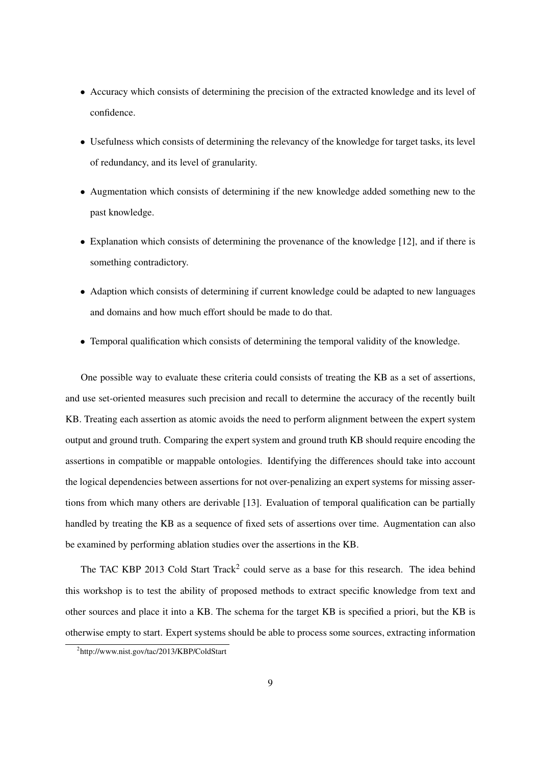- Accuracy which consists of determining the precision of the extracted knowledge and its level of confidence.
- Usefulness which consists of determining the relevancy of the knowledge for target tasks, its level of redundancy, and its level of granularity.
- Augmentation which consists of determining if the new knowledge added something new to the past knowledge.
- Explanation which consists of determining the provenance of the knowledge [12], and if there is something contradictory.
- Adaption which consists of determining if current knowledge could be adapted to new languages and domains and how much effort should be made to do that.
- Temporal qualification which consists of determining the temporal validity of the knowledge.

One possible way to evaluate these criteria could consists of treating the KB as a set of assertions, and use set-oriented measures such precision and recall to determine the accuracy of the recently built KB. Treating each assertion as atomic avoids the need to perform alignment between the expert system output and ground truth. Comparing the expert system and ground truth KB should require encoding the assertions in compatible or mappable ontologies. Identifying the differences should take into account the logical dependencies between assertions for not over-penalizing an expert systems for missing assertions from which many others are derivable [13]. Evaluation of temporal qualification can be partially handled by treating the KB as a sequence of fixed sets of assertions over time. Augmentation can also be examined by performing ablation studies over the assertions in the KB.

The TAC KBP 2013 Cold Start Track<sup>2</sup> could serve as a base for this research. The idea behind this workshop is to test the ability of proposed methods to extract specific knowledge from text and other sources and place it into a KB. The schema for the target KB is specified a priori, but the KB is otherwise empty to start. Expert systems should be able to process some sources, extracting information

<sup>2</sup> http://www.nist.gov/tac/2013/KBP/ColdStart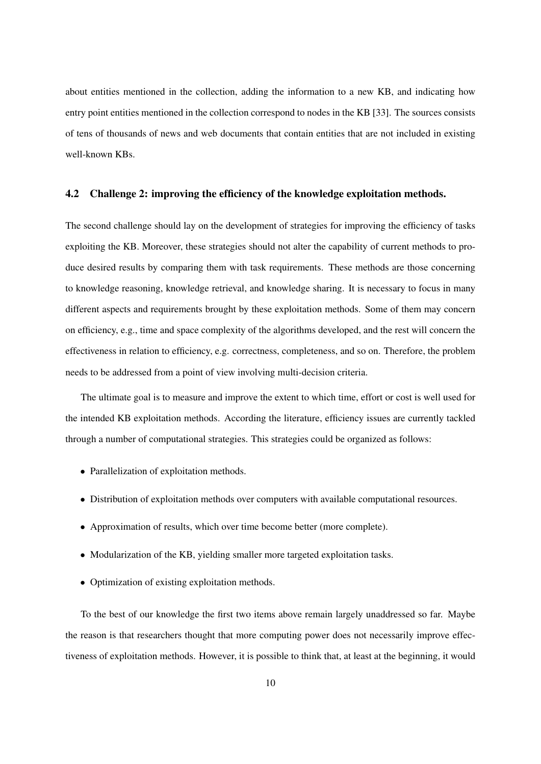about entities mentioned in the collection, adding the information to a new KB, and indicating how entry point entities mentioned in the collection correspond to nodes in the KB [33]. The sources consists of tens of thousands of news and web documents that contain entities that are not included in existing well-known KBs.

#### 4.2 Challenge 2: improving the efficiency of the knowledge exploitation methods.

The second challenge should lay on the development of strategies for improving the efficiency of tasks exploiting the KB. Moreover, these strategies should not alter the capability of current methods to produce desired results by comparing them with task requirements. These methods are those concerning to knowledge reasoning, knowledge retrieval, and knowledge sharing. It is necessary to focus in many different aspects and requirements brought by these exploitation methods. Some of them may concern on efficiency, e.g., time and space complexity of the algorithms developed, and the rest will concern the effectiveness in relation to efficiency, e.g. correctness, completeness, and so on. Therefore, the problem needs to be addressed from a point of view involving multi-decision criteria.

The ultimate goal is to measure and improve the extent to which time, effort or cost is well used for the intended KB exploitation methods. According the literature, efficiency issues are currently tackled through a number of computational strategies. This strategies could be organized as follows:

- Parallelization of exploitation methods.
- Distribution of exploitation methods over computers with available computational resources.
- Approximation of results, which over time become better (more complete).
- Modularization of the KB, yielding smaller more targeted exploitation tasks.
- Optimization of existing exploitation methods.

To the best of our knowledge the first two items above remain largely unaddressed so far. Maybe the reason is that researchers thought that more computing power does not necessarily improve effectiveness of exploitation methods. However, it is possible to think that, at least at the beginning, it would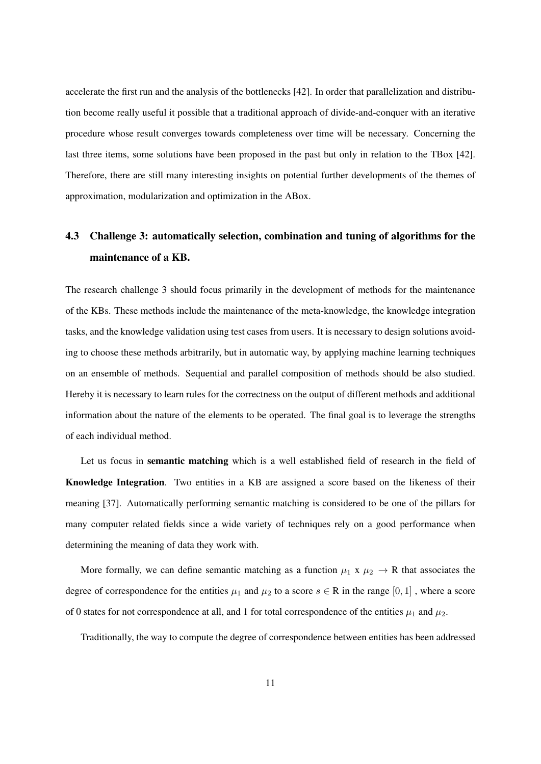accelerate the first run and the analysis of the bottlenecks [42]. In order that parallelization and distribution become really useful it possible that a traditional approach of divide-and-conquer with an iterative procedure whose result converges towards completeness over time will be necessary. Concerning the last three items, some solutions have been proposed in the past but only in relation to the TBox [42]. Therefore, there are still many interesting insights on potential further developments of the themes of approximation, modularization and optimization in the ABox.

# 4.3 Challenge 3: automatically selection, combination and tuning of algorithms for the maintenance of a KB.

The research challenge 3 should focus primarily in the development of methods for the maintenance of the KBs. These methods include the maintenance of the meta-knowledge, the knowledge integration tasks, and the knowledge validation using test cases from users. It is necessary to design solutions avoiding to choose these methods arbitrarily, but in automatic way, by applying machine learning techniques on an ensemble of methods. Sequential and parallel composition of methods should be also studied. Hereby it is necessary to learn rules for the correctness on the output of different methods and additional information about the nature of the elements to be operated. The final goal is to leverage the strengths of each individual method.

Let us focus in semantic matching which is a well established field of research in the field of Knowledge Integration. Two entities in a KB are assigned a score based on the likeness of their meaning [37]. Automatically performing semantic matching is considered to be one of the pillars for many computer related fields since a wide variety of techniques rely on a good performance when determining the meaning of data they work with.

More formally, we can define semantic matching as a function  $\mu_1 \times \mu_2 \rightarrow R$  that associates the degree of correspondence for the entities  $\mu_1$  and  $\mu_2$  to a score  $s \in \mathbb{R}$  in the range [0, 1], where a score of 0 states for not correspondence at all, and 1 for total correspondence of the entities  $\mu_1$  and  $\mu_2$ .

Traditionally, the way to compute the degree of correspondence between entities has been addressed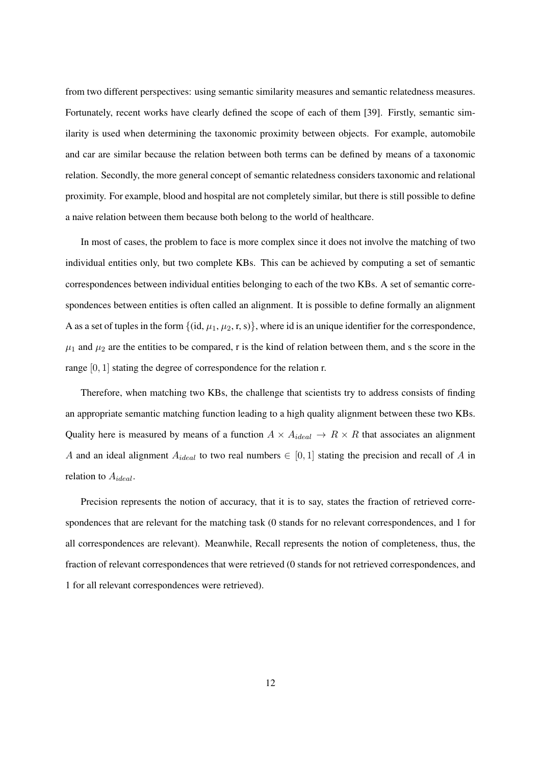from two different perspectives: using semantic similarity measures and semantic relatedness measures. Fortunately, recent works have clearly defined the scope of each of them [39]. Firstly, semantic similarity is used when determining the taxonomic proximity between objects. For example, automobile and car are similar because the relation between both terms can be defined by means of a taxonomic relation. Secondly, the more general concept of semantic relatedness considers taxonomic and relational proximity. For example, blood and hospital are not completely similar, but there is still possible to define a naive relation between them because both belong to the world of healthcare.

In most of cases, the problem to face is more complex since it does not involve the matching of two individual entities only, but two complete KBs. This can be achieved by computing a set of semantic correspondences between individual entities belonging to each of the two KBs. A set of semantic correspondences between entities is often called an alignment. It is possible to define formally an alignment A as a set of tuples in the form  $\{(id, \mu_1, \mu_2, r, s)\}$ , where id is an unique identifier for the correspondence,  $\mu_1$  and  $\mu_2$  are the entities to be compared, r is the kind of relation between them, and s the score in the range [0, 1] stating the degree of correspondence for the relation r.

Therefore, when matching two KBs, the challenge that scientists try to address consists of finding an appropriate semantic matching function leading to a high quality alignment between these two KBs. Quality here is measured by means of a function  $A \times A_{ideal} \rightarrow R \times R$  that associates an alignment A and an ideal alignment  $A_{ideal}$  to two real numbers  $\in [0, 1]$  stating the precision and recall of A in relation to  $A_{ideal}$ .

Precision represents the notion of accuracy, that it is to say, states the fraction of retrieved correspondences that are relevant for the matching task (0 stands for no relevant correspondences, and 1 for all correspondences are relevant). Meanwhile, Recall represents the notion of completeness, thus, the fraction of relevant correspondences that were retrieved (0 stands for not retrieved correspondences, and 1 for all relevant correspondences were retrieved).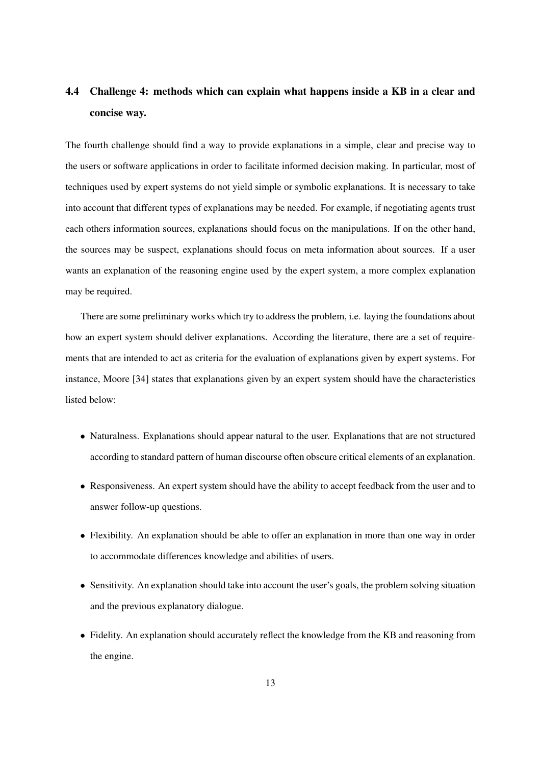# 4.4 Challenge 4: methods which can explain what happens inside a KB in a clear and concise way.

The fourth challenge should find a way to provide explanations in a simple, clear and precise way to the users or software applications in order to facilitate informed decision making. In particular, most of techniques used by expert systems do not yield simple or symbolic explanations. It is necessary to take into account that different types of explanations may be needed. For example, if negotiating agents trust each others information sources, explanations should focus on the manipulations. If on the other hand, the sources may be suspect, explanations should focus on meta information about sources. If a user wants an explanation of the reasoning engine used by the expert system, a more complex explanation may be required.

There are some preliminary works which try to address the problem, i.e. laying the foundations about how an expert system should deliver explanations. According the literature, there are a set of requirements that are intended to act as criteria for the evaluation of explanations given by expert systems. For instance, Moore [34] states that explanations given by an expert system should have the characteristics listed below:

- Naturalness. Explanations should appear natural to the user. Explanations that are not structured according to standard pattern of human discourse often obscure critical elements of an explanation.
- Responsiveness. An expert system should have the ability to accept feedback from the user and to answer follow-up questions.
- Flexibility. An explanation should be able to offer an explanation in more than one way in order to accommodate differences knowledge and abilities of users.
- Sensitivity. An explanation should take into account the user's goals, the problem solving situation and the previous explanatory dialogue.
- Fidelity. An explanation should accurately reflect the knowledge from the KB and reasoning from the engine.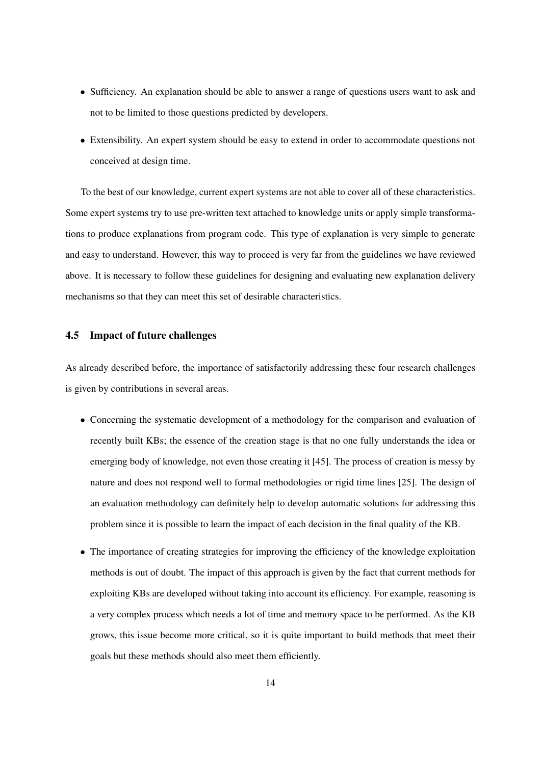- Sufficiency. An explanation should be able to answer a range of questions users want to ask and not to be limited to those questions predicted by developers.
- Extensibility. An expert system should be easy to extend in order to accommodate questions not conceived at design time.

To the best of our knowledge, current expert systems are not able to cover all of these characteristics. Some expert systems try to use pre-written text attached to knowledge units or apply simple transformations to produce explanations from program code. This type of explanation is very simple to generate and easy to understand. However, this way to proceed is very far from the guidelines we have reviewed above. It is necessary to follow these guidelines for designing and evaluating new explanation delivery mechanisms so that they can meet this set of desirable characteristics.

#### 4.5 Impact of future challenges

As already described before, the importance of satisfactorily addressing these four research challenges is given by contributions in several areas.

- Concerning the systematic development of a methodology for the comparison and evaluation of recently built KBs; the essence of the creation stage is that no one fully understands the idea or emerging body of knowledge, not even those creating it [45]. The process of creation is messy by nature and does not respond well to formal methodologies or rigid time lines [25]. The design of an evaluation methodology can definitely help to develop automatic solutions for addressing this problem since it is possible to learn the impact of each decision in the final quality of the KB.
- The importance of creating strategies for improving the efficiency of the knowledge exploitation methods is out of doubt. The impact of this approach is given by the fact that current methods for exploiting KBs are developed without taking into account its efficiency. For example, reasoning is a very complex process which needs a lot of time and memory space to be performed. As the KB grows, this issue become more critical, so it is quite important to build methods that meet their goals but these methods should also meet them efficiently.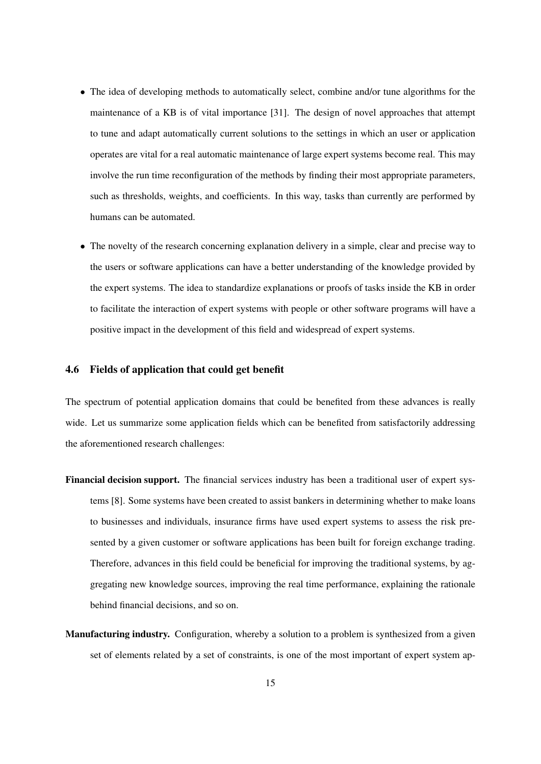- The idea of developing methods to automatically select, combine and/or tune algorithms for the maintenance of a KB is of vital importance [31]. The design of novel approaches that attempt to tune and adapt automatically current solutions to the settings in which an user or application operates are vital for a real automatic maintenance of large expert systems become real. This may involve the run time reconfiguration of the methods by finding their most appropriate parameters, such as thresholds, weights, and coefficients. In this way, tasks than currently are performed by humans can be automated.
- The novelty of the research concerning explanation delivery in a simple, clear and precise way to the users or software applications can have a better understanding of the knowledge provided by the expert systems. The idea to standardize explanations or proofs of tasks inside the KB in order to facilitate the interaction of expert systems with people or other software programs will have a positive impact in the development of this field and widespread of expert systems.

#### 4.6 Fields of application that could get benefit

The spectrum of potential application domains that could be benefited from these advances is really wide. Let us summarize some application fields which can be benefited from satisfactorily addressing the aforementioned research challenges:

- Financial decision support. The financial services industry has been a traditional user of expert systems [8]. Some systems have been created to assist bankers in determining whether to make loans to businesses and individuals, insurance firms have used expert systems to assess the risk presented by a given customer or software applications has been built for foreign exchange trading. Therefore, advances in this field could be beneficial for improving the traditional systems, by aggregating new knowledge sources, improving the real time performance, explaining the rationale behind financial decisions, and so on.
- Manufacturing industry. Configuration, whereby a solution to a problem is synthesized from a given set of elements related by a set of constraints, is one of the most important of expert system ap-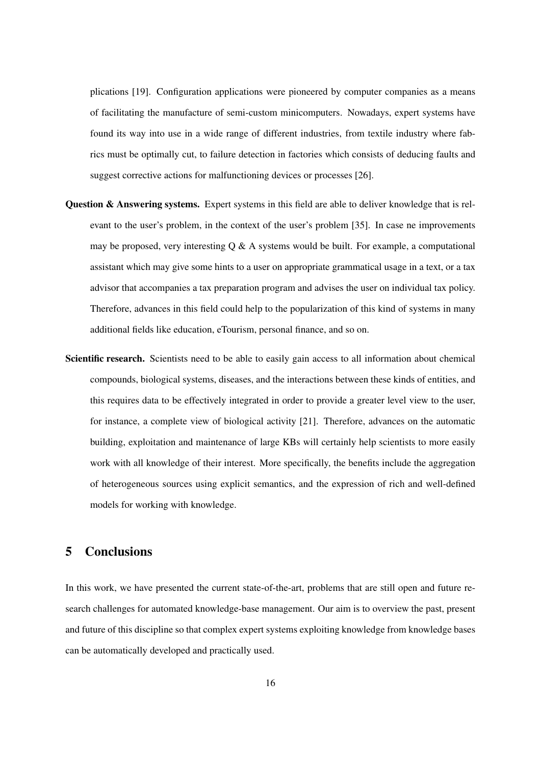plications [19]. Configuration applications were pioneered by computer companies as a means of facilitating the manufacture of semi-custom minicomputers. Nowadays, expert systems have found its way into use in a wide range of different industries, from textile industry where fabrics must be optimally cut, to failure detection in factories which consists of deducing faults and suggest corrective actions for malfunctioning devices or processes [26].

- Question & Answering systems. Expert systems in this field are able to deliver knowledge that is relevant to the user's problem, in the context of the user's problem [35]. In case ne improvements may be proposed, very interesting  $Q \& A$  systems would be built. For example, a computational assistant which may give some hints to a user on appropriate grammatical usage in a text, or a tax advisor that accompanies a tax preparation program and advises the user on individual tax policy. Therefore, advances in this field could help to the popularization of this kind of systems in many additional fields like education, eTourism, personal finance, and so on.
- Scientific research. Scientists need to be able to easily gain access to all information about chemical compounds, biological systems, diseases, and the interactions between these kinds of entities, and this requires data to be effectively integrated in order to provide a greater level view to the user, for instance, a complete view of biological activity [21]. Therefore, advances on the automatic building, exploitation and maintenance of large KBs will certainly help scientists to more easily work with all knowledge of their interest. More specifically, the benefits include the aggregation of heterogeneous sources using explicit semantics, and the expression of rich and well-defined models for working with knowledge.

# 5 Conclusions

In this work, we have presented the current state-of-the-art, problems that are still open and future research challenges for automated knowledge-base management. Our aim is to overview the past, present and future of this discipline so that complex expert systems exploiting knowledge from knowledge bases can be automatically developed and practically used.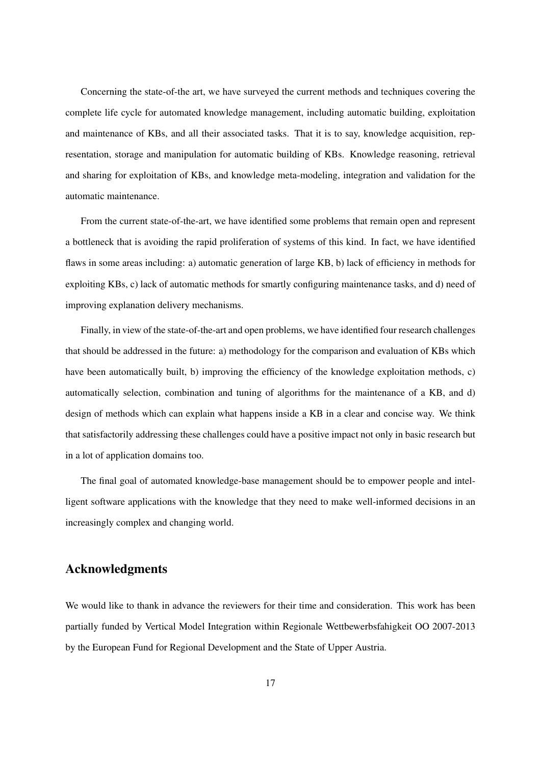Concerning the state-of-the art, we have surveyed the current methods and techniques covering the complete life cycle for automated knowledge management, including automatic building, exploitation and maintenance of KBs, and all their associated tasks. That it is to say, knowledge acquisition, representation, storage and manipulation for automatic building of KBs. Knowledge reasoning, retrieval and sharing for exploitation of KBs, and knowledge meta-modeling, integration and validation for the automatic maintenance.

From the current state-of-the-art, we have identified some problems that remain open and represent a bottleneck that is avoiding the rapid proliferation of systems of this kind. In fact, we have identified flaws in some areas including: a) automatic generation of large KB, b) lack of efficiency in methods for exploiting KBs, c) lack of automatic methods for smartly configuring maintenance tasks, and d) need of improving explanation delivery mechanisms.

Finally, in view of the state-of-the-art and open problems, we have identified four research challenges that should be addressed in the future: a) methodology for the comparison and evaluation of KBs which have been automatically built, b) improving the efficiency of the knowledge exploitation methods, c) automatically selection, combination and tuning of algorithms for the maintenance of a KB, and d) design of methods which can explain what happens inside a KB in a clear and concise way. We think that satisfactorily addressing these challenges could have a positive impact not only in basic research but in a lot of application domains too.

The final goal of automated knowledge-base management should be to empower people and intelligent software applications with the knowledge that they need to make well-informed decisions in an increasingly complex and changing world.

### Acknowledgments

We would like to thank in advance the reviewers for their time and consideration. This work has been partially funded by Vertical Model Integration within Regionale Wettbewerbsfahigkeit OO 2007-2013 by the European Fund for Regional Development and the State of Upper Austria.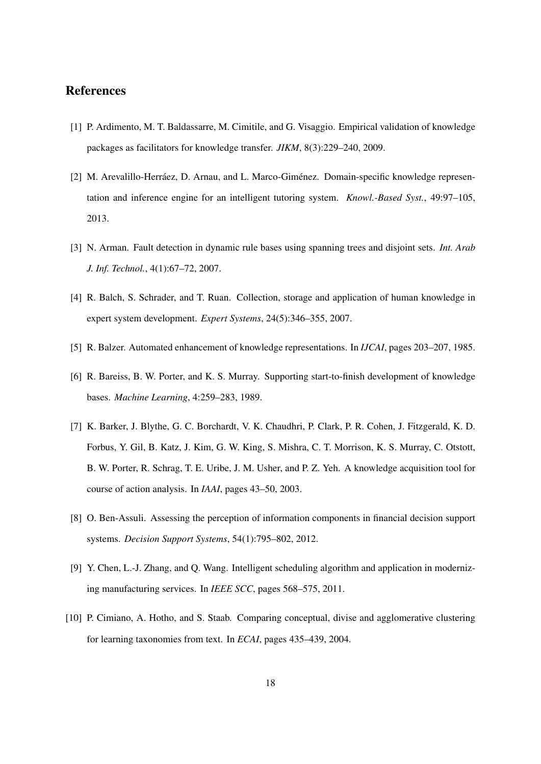## References

- [1] P. Ardimento, M. T. Baldassarre, M. Cimitile, and G. Visaggio. Empirical validation of knowledge packages as facilitators for knowledge transfer. *JIKM*, 8(3):229–240, 2009.
- [2] M. Arevalillo-Herráez, D. Arnau, and L. Marco-Giménez. Domain-specific knowledge representation and inference engine for an intelligent tutoring system. *Knowl.-Based Syst.*, 49:97–105, 2013.
- [3] N. Arman. Fault detection in dynamic rule bases using spanning trees and disjoint sets. *Int. Arab J. Inf. Technol.*, 4(1):67–72, 2007.
- [4] R. Balch, S. Schrader, and T. Ruan. Collection, storage and application of human knowledge in expert system development. *Expert Systems*, 24(5):346–355, 2007.
- [5] R. Balzer. Automated enhancement of knowledge representations. In *IJCAI*, pages 203–207, 1985.
- [6] R. Bareiss, B. W. Porter, and K. S. Murray. Supporting start-to-finish development of knowledge bases. *Machine Learning*, 4:259–283, 1989.
- [7] K. Barker, J. Blythe, G. C. Borchardt, V. K. Chaudhri, P. Clark, P. R. Cohen, J. Fitzgerald, K. D. Forbus, Y. Gil, B. Katz, J. Kim, G. W. King, S. Mishra, C. T. Morrison, K. S. Murray, C. Otstott, B. W. Porter, R. Schrag, T. E. Uribe, J. M. Usher, and P. Z. Yeh. A knowledge acquisition tool for course of action analysis. In *IAAI*, pages 43–50, 2003.
- [8] O. Ben-Assuli. Assessing the perception of information components in financial decision support systems. *Decision Support Systems*, 54(1):795–802, 2012.
- [9] Y. Chen, L.-J. Zhang, and Q. Wang. Intelligent scheduling algorithm and application in modernizing manufacturing services. In *IEEE SCC*, pages 568–575, 2011.
- [10] P. Cimiano, A. Hotho, and S. Staab. Comparing conceptual, divise and agglomerative clustering for learning taxonomies from text. In *ECAI*, pages 435–439, 2004.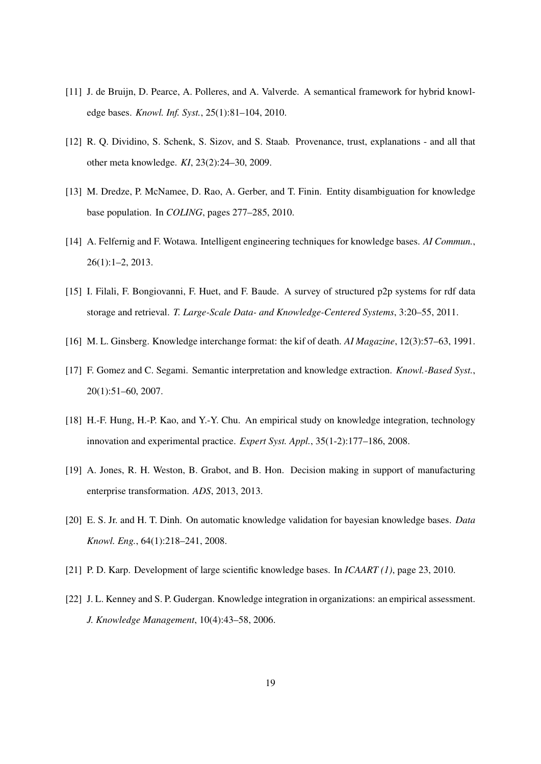- [11] J. de Bruijn, D. Pearce, A. Polleres, and A. Valverde. A semantical framework for hybrid knowledge bases. *Knowl. Inf. Syst.*, 25(1):81–104, 2010.
- [12] R. Q. Dividino, S. Schenk, S. Sizov, and S. Staab. Provenance, trust, explanations and all that other meta knowledge. *KI*, 23(2):24–30, 2009.
- [13] M. Dredze, P. McNamee, D. Rao, A. Gerber, and T. Finin. Entity disambiguation for knowledge base population. In *COLING*, pages 277–285, 2010.
- [14] A. Felfernig and F. Wotawa. Intelligent engineering techniques for knowledge bases. *AI Commun.*, 26(1):1–2, 2013.
- [15] I. Filali, F. Bongiovanni, F. Huet, and F. Baude. A survey of structured p2p systems for rdf data storage and retrieval. *T. Large-Scale Data- and Knowledge-Centered Systems*, 3:20–55, 2011.
- [16] M. L. Ginsberg. Knowledge interchange format: the kif of death. *AI Magazine*, 12(3):57–63, 1991.
- [17] F. Gomez and C. Segami. Semantic interpretation and knowledge extraction. *Knowl.-Based Syst.*, 20(1):51–60, 2007.
- [18] H.-F. Hung, H.-P. Kao, and Y.-Y. Chu. An empirical study on knowledge integration, technology innovation and experimental practice. *Expert Syst. Appl.*, 35(1-2):177–186, 2008.
- [19] A. Jones, R. H. Weston, B. Grabot, and B. Hon. Decision making in support of manufacturing enterprise transformation. *ADS*, 2013, 2013.
- [20] E. S. Jr. and H. T. Dinh. On automatic knowledge validation for bayesian knowledge bases. *Data Knowl. Eng.*, 64(1):218–241, 2008.
- [21] P. D. Karp. Development of large scientific knowledge bases. In *ICAART (1)*, page 23, 2010.
- [22] J. L. Kenney and S. P. Gudergan. Knowledge integration in organizations: an empirical assessment. *J. Knowledge Management*, 10(4):43–58, 2006.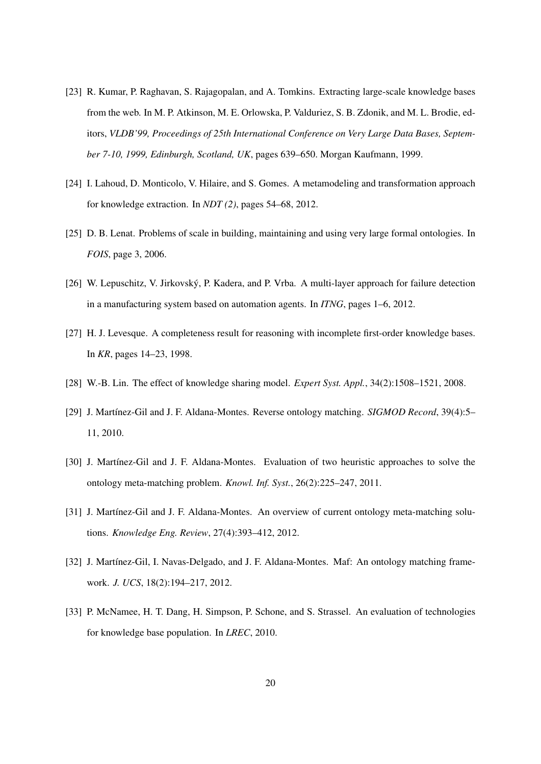- [23] R. Kumar, P. Raghavan, S. Rajagopalan, and A. Tomkins. Extracting large-scale knowledge bases from the web. In M. P. Atkinson, M. E. Orlowska, P. Valduriez, S. B. Zdonik, and M. L. Brodie, editors, *VLDB'99, Proceedings of 25th International Conference on Very Large Data Bases, September 7-10, 1999, Edinburgh, Scotland, UK*, pages 639–650. Morgan Kaufmann, 1999.
- [24] I. Lahoud, D. Monticolo, V. Hilaire, and S. Gomes. A metamodeling and transformation approach for knowledge extraction. In *NDT (2)*, pages 54–68, 2012.
- [25] D. B. Lenat. Problems of scale in building, maintaining and using very large formal ontologies. In *FOIS*, page 3, 2006.
- [26] W. Lepuschitz, V. Jirkovský, P. Kadera, and P. Vrba. A multi-layer approach for failure detection in a manufacturing system based on automation agents. In *ITNG*, pages 1–6, 2012.
- [27] H. J. Levesque. A completeness result for reasoning with incomplete first-order knowledge bases. In *KR*, pages 14–23, 1998.
- [28] W.-B. Lin. The effect of knowledge sharing model. *Expert Syst. Appl.*, 34(2):1508–1521, 2008.
- [29] J. Martínez-Gil and J. F. Aldana-Montes. Reverse ontology matching. *SIGMOD Record*, 39(4):5– 11, 2010.
- [30] J. Martínez-Gil and J. F. Aldana-Montes. Evaluation of two heuristic approaches to solve the ontology meta-matching problem. *Knowl. Inf. Syst.*, 26(2):225–247, 2011.
- [31] J. Martínez-Gil and J. F. Aldana-Montes. An overview of current ontology meta-matching solutions. *Knowledge Eng. Review*, 27(4):393–412, 2012.
- [32] J. Martínez-Gil, I. Navas-Delgado, and J. F. Aldana-Montes. Maf: An ontology matching framework. *J. UCS*, 18(2):194–217, 2012.
- [33] P. McNamee, H. T. Dang, H. Simpson, P. Schone, and S. Strassel. An evaluation of technologies for knowledge base population. In *LREC*, 2010.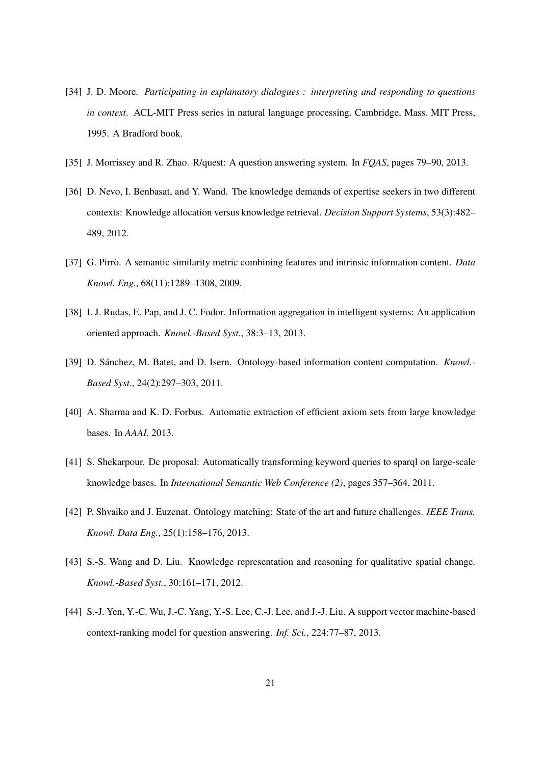- [34] J. D. Moore. *Participating in explanatory dialogues : interpreting and responding to questions in context*. ACL-MIT Press series in natural language processing. Cambridge, Mass. MIT Press, 1995. A Bradford book.
- [35] J. Morrissey and R. Zhao. R/quest: A question answering system. In *FQAS*, pages 79–90, 2013.
- [36] D. Nevo, I. Benbasat, and Y. Wand. The knowledge demands of expertise seekers in two different contexts: Knowledge allocation versus knowledge retrieval. *Decision Support Systems*, 53(3):482– 489, 2012.
- [37] G. Pirrò. A semantic similarity metric combining features and intrinsic information content. *Data Knowl. Eng.*, 68(11):1289–1308, 2009.
- [38] I. J. Rudas, E. Pap, and J. C. Fodor. Information aggregation in intelligent systems: An application oriented approach. *Knowl.-Based Syst.*, 38:3–13, 2013.
- [39] D. Sánchez, M. Batet, and D. Isern. Ontology-based information content computation. *Knowl.*-*Based Syst.*, 24(2):297–303, 2011.
- [40] A. Sharma and K. D. Forbus. Automatic extraction of efficient axiom sets from large knowledge bases. In *AAAI*, 2013.
- [41] S. Shekarpour. Dc proposal: Automatically transforming keyword queries to sparql on large-scale knowledge bases. In *International Semantic Web Conference (2)*, pages 357–364, 2011.
- [42] P. Shvaiko and J. Euzenat. Ontology matching: State of the art and future challenges. *IEEE Trans. Knowl. Data Eng.*, 25(1):158–176, 2013.
- [43] S.-S. Wang and D. Liu. Knowledge representation and reasoning for qualitative spatial change. *Knowl.-Based Syst.*, 30:161–171, 2012.
- [44] S.-J. Yen, Y.-C. Wu, J.-C. Yang, Y.-S. Lee, C.-J. Lee, and J.-J. Liu. A support vector machine-based context-ranking model for question answering. *Inf. Sci.*, 224:77–87, 2013.